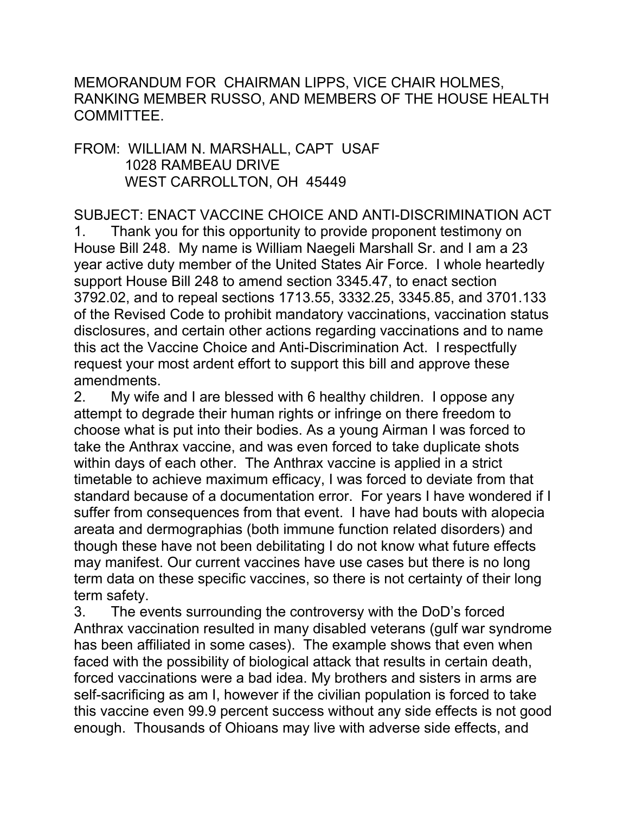MEMORANDUM FOR CHAIRMAN LIPPS, VICE CHAIR HOLMES, RANKING MEMBER RUSSO, AND MEMBERS OF THE HOUSE HEALTH COMMITTEE.

## FROM: WILLIAM N. MARSHALL, CAPT USAF 1028 RAMBEAU DRIVE WEST CARROLLTON, OH 45449

## SUBJECT: ENACT VACCINE CHOICE AND ANTI-DISCRIMINATION ACT

1. Thank you for this opportunity to provide proponent testimony on House Bill 248. My name is William Naegeli Marshall Sr. and I am a 23 year active duty member of the United States Air Force. I whole heartedly support House Bill 248 to amend section 3345.47, to enact section 3792.02, and to repeal sections 1713.55, 3332.25, 3345.85, and 3701.133 of the Revised Code to prohibit mandatory vaccinations, vaccination status disclosures, and certain other actions regarding vaccinations and to name this act the Vaccine Choice and Anti-Discrimination Act. I respectfully request your most ardent effort to support this bill and approve these amendments.

2. My wife and I are blessed with 6 healthy children. I oppose any attempt to degrade their human rights or infringe on there freedom to choose what is put into their bodies. As a young Airman I was forced to take the Anthrax vaccine, and was even forced to take duplicate shots within days of each other. The Anthrax vaccine is applied in a strict timetable to achieve maximum efficacy, I was forced to deviate from that standard because of a documentation error. For years I have wondered if I suffer from consequences from that event. I have had bouts with alopecia areata and dermographias (both immune function related disorders) and though these have not been debilitating I do not know what future effects may manifest. Our current vaccines have use cases but there is no long term data on these specific vaccines, so there is not certainty of their long term safety.

3. The events surrounding the controversy with the DoD's forced Anthrax vaccination resulted in many disabled veterans (gulf war syndrome has been affiliated in some cases). The example shows that even when faced with the possibility of biological attack that results in certain death, forced vaccinations were a bad idea. My brothers and sisters in arms are self-sacrificing as am I, however if the civilian population is forced to take this vaccine even 99.9 percent success without any side effects is not good enough. Thousands of Ohioans may live with adverse side effects, and